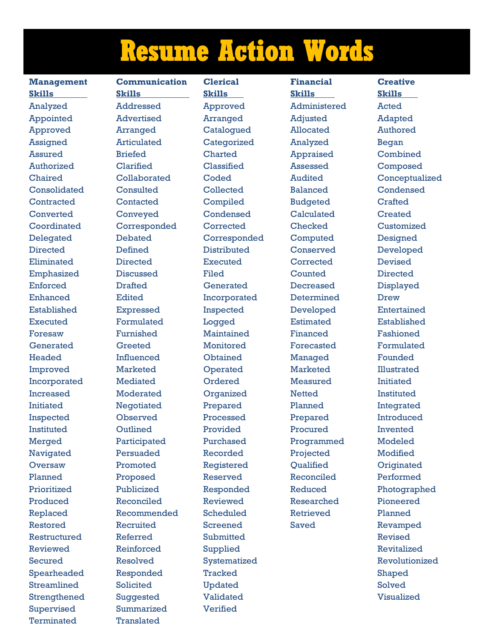## **Resume Action Words**

Terminated Translated

**Management Communication Clerical Financial Creative Skills Skills Skills Skills Skills**  Analyzed Addressed Approved Administered Acted Appointed Advertised Arranged Adjusted Adapted Approved Arranged Catalogued Allocated Authored Assigned Articulated Categorized Analyzed Began Assured Briefed Charted Appraised Combined Authorized Clarified Classified Assessed Composed Consolidated Consulted Collected Balanced Condensed Contracted Contacted Compiled Budgeted Crafted Converted Conveyed Condensed Calculated Created Coordinated Corresponded Corrected Checked Customized Delegated Debated Corresponded Computed Designed Directed Defined Distributed Conserved Developed Eliminated Directed Executed Corrected Devised Emphasized Discussed Filed Counted Directed Enforced Drafted Generated Decreased Displayed Enhanced Edited Incorporated Determined Drew Established Expressed Inspected Developed Entertained Executed Formulated Logged Estimated Established Foresaw Furnished Maintained Financed Fashioned Generated Greeted Monitored Forecasted Formulated Headed Influenced Obtained Managed Founded Improved Marketed Operated Marketed Illustrated Incorporated Mediated Ordered Measured Initiated Increased Moderated Organized Netted Instituted Initiated Negotiated Prepared Planned Integrated Inspected Observed Processed Prepared Introduced Instituted Outlined Provided Procured Invented Merged Participated Purchased Programmed Modeled Navigated Persuaded Recorded Projected Modified Oversaw Promoted Registered Qualified Originated Planned Proposed Reserved Reconciled Performed Produced Reconciled Reviewed Researched Pioneered Replaced Recommended Scheduled Retrieved Planned Restored Recruited Screened Saved Revamped Restructured Referred Submitted Revised Reviewed Reinforced Supplied Revitalized Spearheaded Responded Tracked Shaped Streamlined Solicited Updated Solved Strengthened Suggested Validated Visualized Supervised Summarized Verified

Chaired Collaborated Coded Audited Conceptualized Prioritized Publicized Responded Reduced Photographed Secured Resolved Systematized Revolutionized